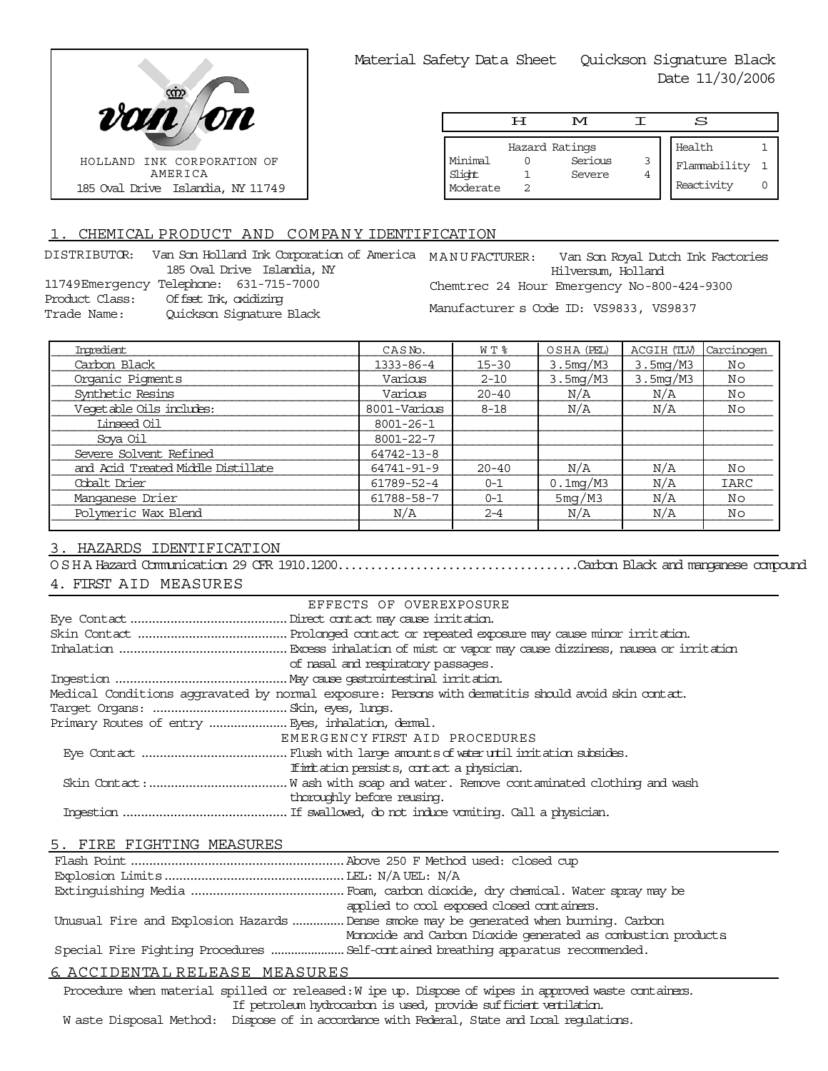

|                               | டா | M                                   |   | S                                    |  |
|-------------------------------|----|-------------------------------------|---|--------------------------------------|--|
| Minimal<br>Slight<br>Moderate |    | Hazard Ratings<br>Serious<br>Severe | 3 | Health<br>Flammability<br>Reactivity |  |

# 1. CHEMICAL PRODUCT AND COMPANY IDENTIFICATION

| DISTRIBUTOR:        | Van S |
|---------------------|-------|
|                     | 185   |
| 11749Emergency Tele |       |
| Product Class:      | Off   |
| Trade Name:         | Oui   |

Oval Drive Islandia, NY phone: 631-715-7000 Product Class: Offset Ink, oxidizing ickson Signature Black

kon Holland Ink Corporation of America MANU FACTURER: Van Son Royal Dutch Ink Factories Hilversum, Holland Chemtrec 24 Hour Emergency No-800-424-9300 Manufacturer s Code ID: VS9833, VS9837

| Imredient                          | CASN <sub>o</sub> . | WT %      | OSHA (PEL)            | ACGIH (TLV) | Carcinogen |
|------------------------------------|---------------------|-----------|-----------------------|-------------|------------|
| Carbon Black                       | $1333 - 86 - 4$     | $15 - 30$ | 3.5 <sub>mq</sub> /M3 | 3.5mg/M3    | Νo         |
| Organic Pigments                   | Various             | $2 - 10$  | 3.5 <sub>mq</sub> /M3 | 3.5mg/M3    | Νo         |
| Synthetic Resins                   | Various             | $20 - 40$ | N/A                   | N/A         | Νo         |
| Vegetable Oils includes:           | 8001-Various        | $8 - 18$  | N/A                   | N/A         | Νo         |
| Linseed Oil                        | $8001 - 26 - 1$     |           |                       |             |            |
| Soya Oil                           | 8001-22-7           |           |                       |             |            |
| Severe Solvent Refined             | $64742 - 13 - 8$    |           |                       |             |            |
| and Acid Treated Middle Distillate | 64741-91-9          | $20 - 40$ | N/A                   | N/A         | Νo         |
| Cobalt Drier                       | 61789-52-4          | $0 - 1$   | $0.1$ mg/M3           | N/A         | IARC       |
| Manganese Drier                    | 61788-58-7          | $0 - 1$   | 5mg/M3                | N/A         | Νo         |
| Polymeric Wax Blend                | N/A                 | $2 - 4$   | N/A                   | N/A         | Νo         |
|                                    |                     |           |                       |             |            |

# 3. HAZARDS IDENTIFICATION

OSHA Hazard Communication 29 CFR 1910.1200.....................................Carbon Black and manganese compound

## 4. FIRST AID MEASURES

|                                                   | EFFECTS OF OVEREXPOSURE                                                                            |  |
|---------------------------------------------------|----------------------------------------------------------------------------------------------------|--|
|                                                   |                                                                                                    |  |
|                                                   |                                                                                                    |  |
|                                                   |                                                                                                    |  |
|                                                   | of nasal and respiratory passages.                                                                 |  |
|                                                   |                                                                                                    |  |
|                                                   | Medical Conditions aggravated by normal exposure: Persons with dematitis should avoid skin contat. |  |
|                                                   |                                                                                                    |  |
| Primary Routes of entry  Eyes, inhalation, demal. |                                                                                                    |  |
|                                                   | EMERGENCY FIRST AID PROCEDURES                                                                     |  |
|                                                   |                                                                                                    |  |
|                                                   | If initiation persists, contact a physician.                                                       |  |
|                                                   |                                                                                                    |  |
|                                                   | thoroughly before reusing.                                                                         |  |
|                                                   |                                                                                                    |  |

## 5. FIRE FIGHTING MEASURES

| applied to cool exposed closed containers.                                            |
|---------------------------------------------------------------------------------------|
| Unusual Fire and Explosion Hazards  Dense smoke may be generated when burning. Carbon |
| Monoxide and Carbon Dioxide generated as combustion products                          |
| Special Fire Fighting Procedures  Self-contained breathing apparatus recommended.     |
|                                                                                       |

## 6. ACCIDENTA L RELEASE MEASURES

Procedure when material spilled or released: W ipe up. Dispose of wipes in approved waste containers. If petroleum hydrocarbon is used, provide sufficient ventilation.

W aste Disposal Method: Dispose of in accordance with Federal, State and Local requlations.